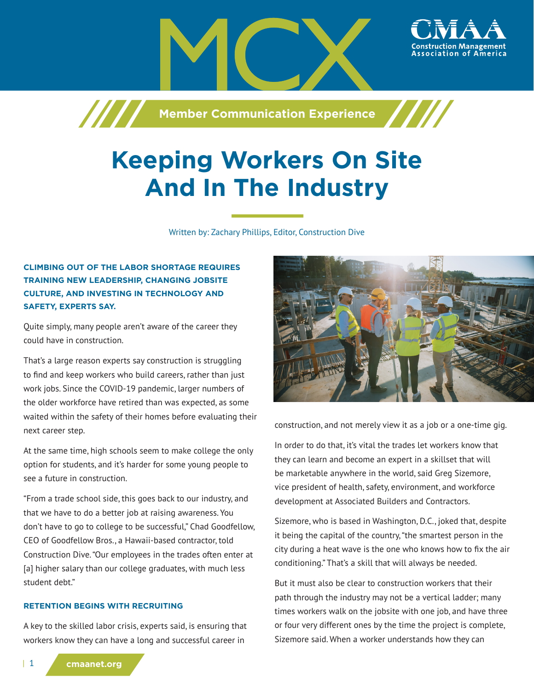

# **Keeping Workers On Site And In The Industry**

Written by: Zachary Phillips, Editor, Construction Dive

# **CLIMBING OUT OF THE LABOR SHORTAGE REQUIRES TRAINING NEW LEADERSHIP, CHANGING JOBSITE CULTURE, AND INVESTING IN TECHNOLOGY AND SAFETY, EXPERTS SAY.**

Quite simply, many people aren't aware of the career they could have in construction.

That's a large reason experts say construction is struggling to find and keep workers who build careers, rather than just work jobs. Since the COVID-19 pandemic, larger numbers of the older workforce have retired than was expected, as some waited within the safety of their homes before evaluating their next career step.

At the same time, high schools seem to make college the only option for students, and it's harder for some young people to see a future in construction.

"From a trade school side, this goes back to our industry, and that we have to do a better job at raising awareness. You don't have to go to college to be successful," Chad Goodfellow, CEO of Goodfellow Bros., a Hawaii-based contractor, told Construction Dive. "Our employees in the trades often enter at [a] higher salary than our college graduates, with much less student debt."

## **RETENTION BEGINS WITH RECRUITING**

A key to the skilled labor crisis, experts said, is ensuring that workers know they can have a long and successful career in



construction, and not merely view it as a job or a one-time gig.

In order to do that, it's vital the trades let workers know that they can learn and become an expert in a skillset that will be marketable anywhere in the world, said Greg Sizemore, vice president of health, safety, environment, and workforce development at Associated Builders and Contractors.

Sizemore, who is based in Washington, D.C., joked that, despite it being the capital of the country, "the smartest person in the city during a heat wave is the one who knows how to fix the air conditioning." That's a skill that will always be needed.

But it must also be clear to construction workers that their path through the industry may not be a vertical ladder; many times workers walk on the jobsite with one job, and have three or four very different ones by the time the project is complete, Sizemore said. When a worker understands how they can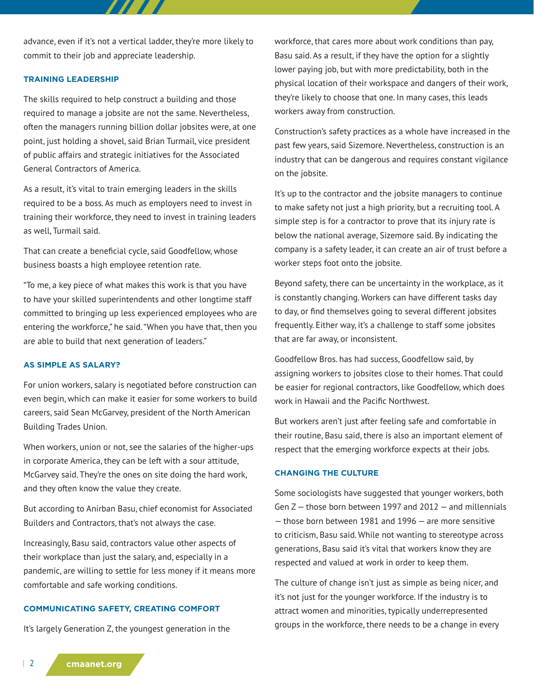advance, even if it's not a vertical ladder, they're more likely to commit to their job and appreciate leadership.

 $\boldsymbol{H}$ 

#### **TRAINING LEADERSHIP**

The skills required to help construct a building and those required to manage a jobsite are not the same. Nevertheless, often the managers running billion dollar jobsites were, at one point, just holding a shovel, said Brian Turmail, vice president of public affairs and strategic initiatives for the Associated General Contractors of America.

As a result, it's vital to train emerging leaders in the skills required to be a boss. As much as employers need to invest in training their workforce, they need to invest in training leaders as well, Turmail said.

That can create a beneficial cycle, said Goodfellow, whose business boasts a high employee retention rate.

"To me, a key piece of what makes this work is that you have to have your skilled superintendents and other longtime staff committed to bringing up less experienced employees who are entering the workforce," he said. "When you have that, then you are able to build that next generation of leaders."

#### **AS SIMPLE AS SALARY?**

For union workers, salary is negotiated before construction can even begin, which can make it easier for some workers to build careers, said Sean McGarvey, president of the North American Building Trades Union.

When workers, union or not, see the salaries of the higher-ups in corporate America, they can be left with a sour attitude, McGarvey said. They're the ones on site doing the hard work, and they often know the value they create.

But according to Anirban Basu, chief economist for Associated Builders and Contractors, that's not always the case.

Increasingly, Basu said, contractors value other aspects of their workplace than just the salary, and, especially in a pandemic, are willing to settle for less money if it means more comfortable and safe working conditions.

## **COMMUNICATING SAFETY, CREATING COMFORT**

It's largely Generation Z, the youngest generation in the

workforce, that cares more about work conditions than pay, Basu said. As a result, if they have the option for a slightly lower paying job, but with more predictability, both in the physical location of their workspace and dangers of their work, they're likely to choose that one. In many cases, this leads workers away from construction.

Construction's safety practices as a whole have increased in the past few years, said Sizemore. Nevertheless, construction is an industry that can be dangerous and requires constant vigilance on the jobsite.

It's up to the contractor and the jobsite managers to continue to make safety not just a high priority, but a recruiting tool. A simple step is for a contractor to prove that its injury rate is below the national average, Sizemore said. By indicating the company is a safety leader, it can create an air of trust before a worker steps foot onto the jobsite.

Beyond safety, there can be uncertainty in the workplace, as it is constantly changing. Workers can have different tasks day to day, or find themselves going to several different jobsites frequently. Either way, it's a challenge to staff some jobsites that are far away, or inconsistent.

Goodfellow Bros. has had success, Goodfellow said, by assigning workers to jobsites close to their homes. That could be easier for regional contractors, like Goodfellow, which does work in Hawaii and the Pacific Northwest.

But workers aren't just after feeling safe and comfortable in their routine, Basu said, there is also an important element of respect that the emerging workforce expects at their jobs.

## **CHANGING THE CULTURE**

Some sociologists have suggested that younger workers, both Gen Z — those born between 1997 and 2012 — and millennials — those born between 1981 and 1996 — are more sensitive to criticism, Basu said. While not wanting to stereotype across generations, Basu said it's vital that workers know they are respected and valued at work in order to keep them.

The culture of change isn't just as simple as being nicer, and it's not just for the younger workforce. If the industry is to attract women and minorities, typically underrepresented groups in the workforce, there needs to be a change in every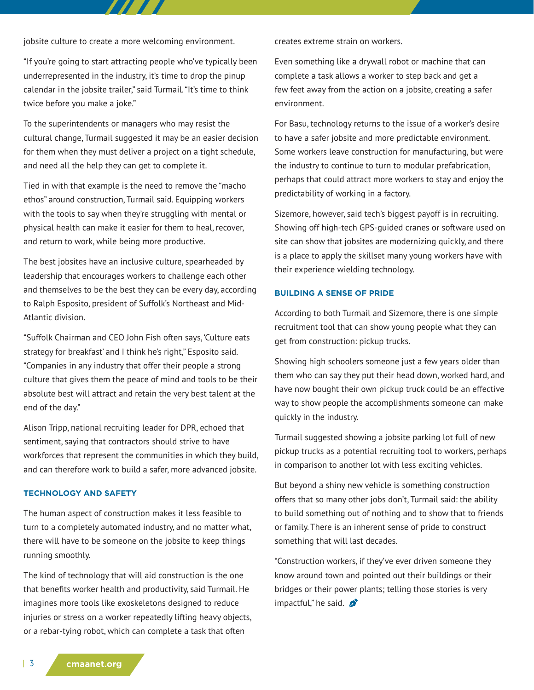jobsite culture to create a more welcoming environment.

"If you're going to start attracting people who've typically been underrepresented in the industry, it's time to drop the pinup calendar in the jobsite trailer," said Turmail. "It's time to think twice before you make a joke."

77 T T

To the superintendents or managers who may resist the cultural change, Turmail suggested it may be an easier decision for them when they must deliver a project on a tight schedule, and need all the help they can get to complete it.

Tied in with that example is the need to remove the "macho ethos" around construction, Turmail said. Equipping workers with the tools to say when they're struggling with mental or physical health can make it easier for them to heal, recover, and return to work, while being more productive.

The best jobsites have an inclusive culture, spearheaded by leadership that encourages workers to challenge each other and themselves to be the best they can be every day, according to Ralph Esposito, president of Suffolk's Northeast and Mid-Atlantic division.

"Suffolk Chairman and CEO John Fish often says, 'Culture eats strategy for breakfast' and I think he's right," Esposito said. "Companies in any industry that offer their people a strong culture that gives them the peace of mind and tools to be their absolute best will attract and retain the very best talent at the end of the day."

Alison Tripp, national recruiting leader for DPR, echoed that sentiment, saying that contractors should strive to have workforces that represent the communities in which they build, and can therefore work to build a safer, more advanced jobsite.

#### **TECHNOLOGY AND SAFETY**

The human aspect of construction makes it less feasible to turn to a completely automated industry, and no matter what, there will have to be someone on the jobsite to keep things running smoothly.

The kind of technology that will aid construction is the one that benefits worker health and productivity, said Turmail. He imagines more tools like exoskeletons designed to reduce injuries or stress on a worker repeatedly lifting heavy objects, or a rebar-tying robot, which can complete a task that often

creates extreme strain on workers.

Even something like a drywall robot or machine that can complete a task allows a worker to step back and get a few feet away from the action on a jobsite, creating a safer environment.

For Basu, technology returns to the issue of a worker's desire to have a safer jobsite and more predictable environment. Some workers leave construction for manufacturing, but were the industry to continue to turn to modular prefabrication, perhaps that could attract more workers to stay and enjoy the predictability of working in a factory.

Sizemore, however, said tech's biggest payoff is in recruiting. Showing off high-tech GPS-guided cranes or software used on site can show that jobsites are modernizing quickly, and there is a place to apply the skillset many young workers have with their experience wielding technology.

### **BUILDING A SENSE OF PRIDE**

According to both Turmail and Sizemore, there is one simple recruitment tool that can show young people what they can get from construction: pickup trucks.

Showing high schoolers someone just a few years older than them who can say they put their head down, worked hard, and have now bought their own pickup truck could be an effective way to show people the accomplishments someone can make quickly in the industry.

Turmail suggested showing a jobsite parking lot full of new pickup trucks as a potential recruiting tool to workers, perhaps in comparison to another lot with less exciting vehicles.

But beyond a shiny new vehicle is something construction offers that so many other jobs don't, Turmail said: the ability to build something out of nothing and to show that to friends or family. There is an inherent sense of pride to construct something that will last decades.

"Construction workers, if they've ever driven someone they know around town and pointed out their buildings or their bridges or their power plants; telling those stories is very impactful," he said.  $\mathcal{D}$